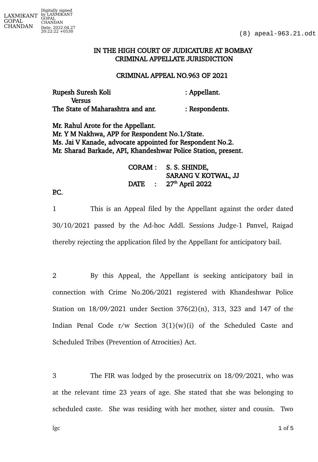## IN THE HIGH COURT OF JUDICATURE AT BOMBAY CRIMINAL APPELLATE JURISDICTION

## CRIMINAL APPEAL NO.963 OF 2021

| Rupesh Suresh Koli                | : Appellant.   |
|-----------------------------------|----------------|
| <b>Versus</b>                     |                |
| The State of Maharashtra and anr. | : Respondents. |

Mr. Rahul Arote for the Appellant. Mr. Y M Nakhwa, APP for Respondent No.1/State. Ms. Jai V Kanade, advocate appointed for Respondent No.2. Mr. Sharad Barkade, API, Khandeshwar Police Station, present.

|             | CORAM : S. S. SHINDE,         |  |
|-------------|-------------------------------|--|
|             | SARANG V. KOTWAL, JJ          |  |
| <b>DATE</b> | : $27^{\text{th}}$ April 2022 |  |

## P.C.

1 This is an Appeal filed by the Appellant against the order dated 30/10/2021 passed by the Ad-hoc Addl. Sessions Judge-1 Panvel, Raigad thereby rejecting the application filed by the Appellant for anticipatory bail.

2 By this Appeal, the Appellant is seeking anticipatory bail in connection with Crime No.206/2021 registered with Khandeshwar Police Station on 18/09/2021 under Section 376(2)(n), 313, 323 and 147 of the Indian Penal Code  $r/w$  Section  $3(1)(w)(i)$  of the Scheduled Caste and Scheduled Tribes (Prevention of Atrocities) Act.

3 The FIR was lodged by the prosecutrix on 18/09/2021, who was at the relevant time 23 years of age. She stated that she was belonging to scheduled caste. She was residing with her mother, sister and cousin. Two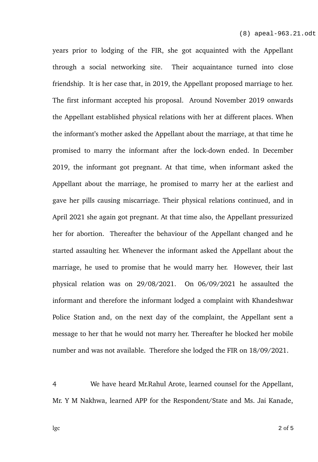years prior to lodging of the FIR, she got acquainted with the Appellant through a social networking site. Their acquaintance turned into close friendship. It is her case that, in 2019, the Appellant proposed marriage to her. The first informant accepted his proposal. Around November 2019 onwards the Appellant established physical relations with her at different places. When the informant's mother asked the Appellant about the marriage, at that time he promised to marry the informant after the lock-down ended. In December 2019, the informant got pregnant. At that time, when informant asked the Appellant about the marriage, he promised to marry her at the earliest and gave her pills causing miscarriage. Their physical relations continued, and in April 2021 she again got pregnant. At that time also, the Appellant pressurized her for abortion. Thereafter the behaviour of the Appellant changed and he started assaulting her. Whenever the informant asked the Appellant about the marriage, he used to promise that he would marry her. However, their last physical relation was on 29/08/2021. On 06/09/2021 he assaulted the informant and therefore the informant lodged a complaint with Khandeshwar Police Station and, on the next day of the complaint, the Appellant sent a message to her that he would not marry her. Thereafter he blocked her mobile number and was not available. Therefore she lodged the FIR on 18/09/2021.

4 We have heard Mr.Rahul Arote, learned counsel for the Appellant, Mr. Y M Nakhwa, learned APP for the Respondent/State and Ms. Jai Kanade,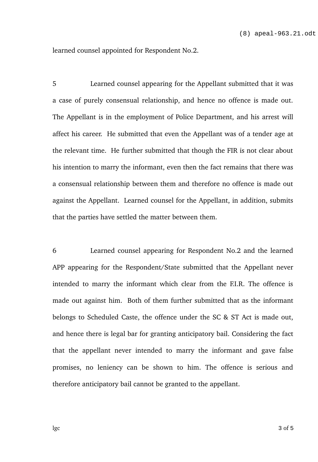learned counsel appointed for Respondent No.2.

5 Learned counsel appearing for the Appellant submitted that it was a case of purely consensual relationship, and hence no offence is made out. The Appellant is in the employment of Police Department, and his arrest will affect his career. He submitted that even the Appellant was of a tender age at the relevant time. He further submitted that though the FIR is not clear about his intention to marry the informant, even then the fact remains that there was a consensual relationship between them and therefore no offence is made out against the Appellant. Learned counsel for the Appellant, in addition, submits that the parties have settled the matter between them.

6 Learned counsel appearing for Respondent No.2 and the learned APP appearing for the Respondent/State submitted that the Appellant never intended to marry the informant which clear from the F.I.R. The offence is made out against him. Both of them further submitted that as the informant belongs to Scheduled Caste, the offence under the SC & ST Act is made out, and hence there is legal bar for granting anticipatory bail. Considering the fact that the appellant never intended to marry the informant and gave false promises, no leniency can be shown to him. The offence is serious and therefore anticipatory bail cannot be granted to the appellant.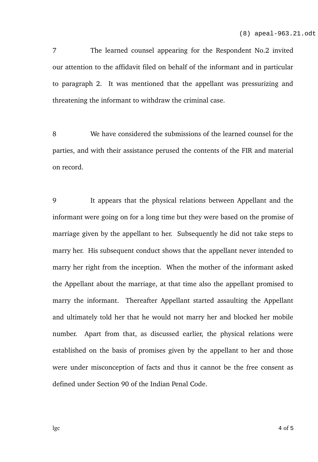7 The learned counsel appearing for the Respondent No.2 invited our attention to the affidavit filed on behalf of the informant and in particular to paragraph 2. It was mentioned that the appellant was pressurizing and threatening the informant to withdraw the criminal case.

8 We have considered the submissions of the learned counsel for the parties, and with their assistance perused the contents of the FIR and material on record.

9 It appears that the physical relations between Appellant and the informant were going on for a long time but they were based on the promise of marriage given by the appellant to her. Subsequently he did not take steps to marry her. His subsequent conduct shows that the appellant never intended to marry her right from the inception. When the mother of the informant asked the Appellant about the marriage, at that time also the appellant promised to marry the informant. Thereafter Appellant started assaulting the Appellant and ultimately told her that he would not marry her and blocked her mobile number. Apart from that, as discussed earlier, the physical relations were established on the basis of promises given by the appellant to her and those were under misconception of facts and thus it cannot be the free consent as defined under Section 90 of the Indian Penal Code.